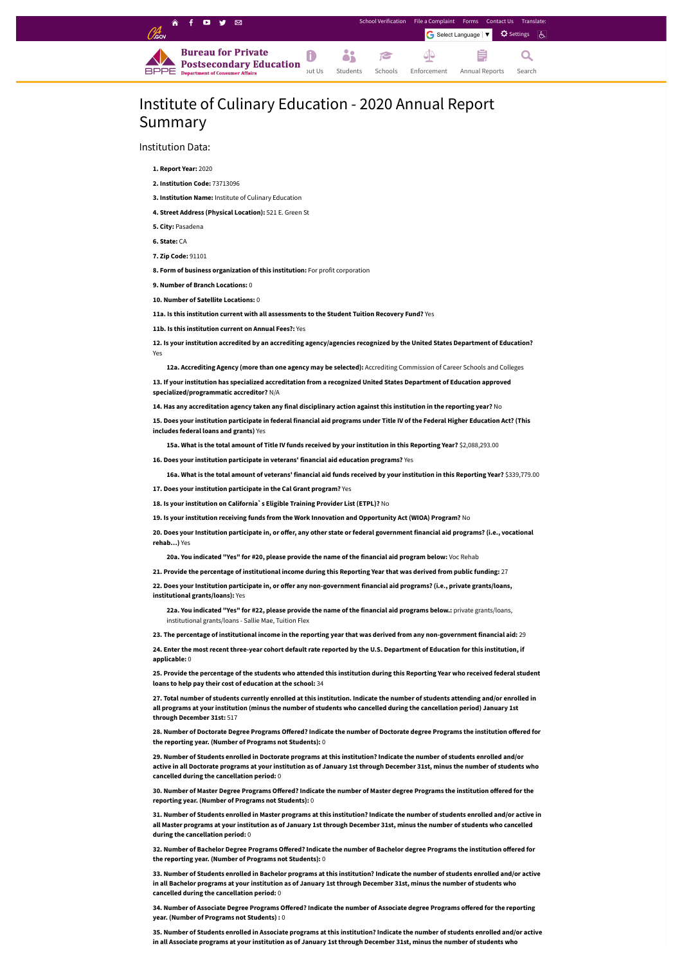## Institute of Culinary Education - 2020 Annual Report Summary

Institution Data:

**1. Report Year:** 2020

**2. Institution Code:** 73713096

**3. Institution Name:** Institute of Culinary Education

**4. Street Address (Physical Location):** 521 E. Green St

**5. City:** Pasadena

**6. State:** CA

**7. Zip Code:** 91101

**8. Form of business organization of this institution:** For profit corporation

12. Is your institution accredited by an accrediting agency/agencies recognized by the United States Department of Education? Yes

**9. Number of Branch Locations:** 0

**10. Number of Satellite Locations:** 0

**11a. Is this institution current with all assessments to the Student Tuition Recovery Fund?** Yes

13. If your institution has specialized accreditation from a recognized United States Department of Education approved **specialized/programmatic accreditor?** N/A

14. Has any accreditation agency taken any final disciplinary action against this institution in the reporting year? No

**11b. Is this institution current on Annual Fees?:** Yes

15. Does your institution participate in federal financial aid programs under Title IV of the Federal Higher Education Act? (This **includes federal loans and grants)** Yes

15a. What is the total amount of Title IV funds received by your institution in this Reporting Year? \$2,088,293.00

**12a. Accrediting Agency (more than one agency may be selected):** Accrediting Commission of Career Schools and Colleges

20. Does your Institution participate in, or offer, any other state or federal government financial aid programs? (i.e., vocational **rehab…)** Yes

22. Does your Institution participate in, or offer any non-government financial aid programs? (i.e., private grants/loans, **institutional grants/loans):** Yes

22a. You indicated "Yes" for #22, please provide the name of the financial aid programs below.: private grants/loans, institutional grants/loans - Sallie Mae, Tuition Flex

23. The percentage of institutional income in the reporting year that was derived from any non-government financial aid: 29

24. Enter the most recent three-year cohort default rate reported by the U.S. Department of Education for this institution, if **applicable:** 0

**16. Does your institution participate in veterans' financial aid education programs?** Yes

16a. What is the total amount of veterans' financial aid funds received by your institution in this Reporting Year? \$339,779.00

25. Provide the percentage of the students who attended this institution during this Reporting Year who received federal student **loans to help pay their cost of education at the school:** 34

27. Total number of students currently enrolled at this institution. Indicate the number of students attending and/or enrolled in all programs at your institution (minus the number of students who cancelled during the cancellation period) January 1st **through December 31st:** 517

**17. Does your institution participate in the Cal Grant program?** Yes

**18. Is your institution on California`s Eligible Training Provider List (ETPL)?** No

28. Number of Doctorate Degree Programs Offered? Indicate the number of Doctorate degree Programs the institution offered for **the reporting year. (Number of Programs not Students):** 0

**19. Is your institution receiving funds from the Work Innovation and Opportunity Act (WIOA) Program?** No

29. Number of Students enrolled in Doctorate programs at this institution? Indicate the number of students enrolled and/or active in all Doctorate programs at your institution as of January 1st through December 31st, minus the number of students who **cancelled during the cancellation period:** 0

30. Number of Master Degree Programs Offered? Indicate the number of Master degree Programs the institution offered for the **reporting year. (Number of Programs not Students):** 0

**20a. You indicated "Yes" for #20, please provide the name of the financial aid program below:** Voc Rehab

27. Provide the percentage of institutional income during this Reporting Year that was derived from public funding: 27

31. Number of Students enrolled in Master programs at this institution? Indicate the number of students enrolled and/or active in all Master programs at your institution as of January 1st through December 31st, minus the number of students who cancelled **during the cancellation period:** 0

32. Number of Bachelor Degree Programs Offered? Indicate the number of Bachelor degree Programs the institution offered for **the reporting year. (Number of Programs not Students):** 0

33. Number of Students enrolled in Bachelor programs at this institution? Indicate the number of students enrolled and/or active in all Bachelor programs at your institution as of January 1st through December 31st, minus the number of students who **cancelled during the cancellation period:** 0

34. Number of Associate Degree Programs Offered? Indicate the number of Associate degree Programs offered for the reporting **year. (Number of Programs not Students) :** 0

35. Number of Students enrolled in Associate programs at this institution? Indicate the number of students enrolled and/or active in all Associate programs at your institution as of January 1st through December 31st, minus the number of students who

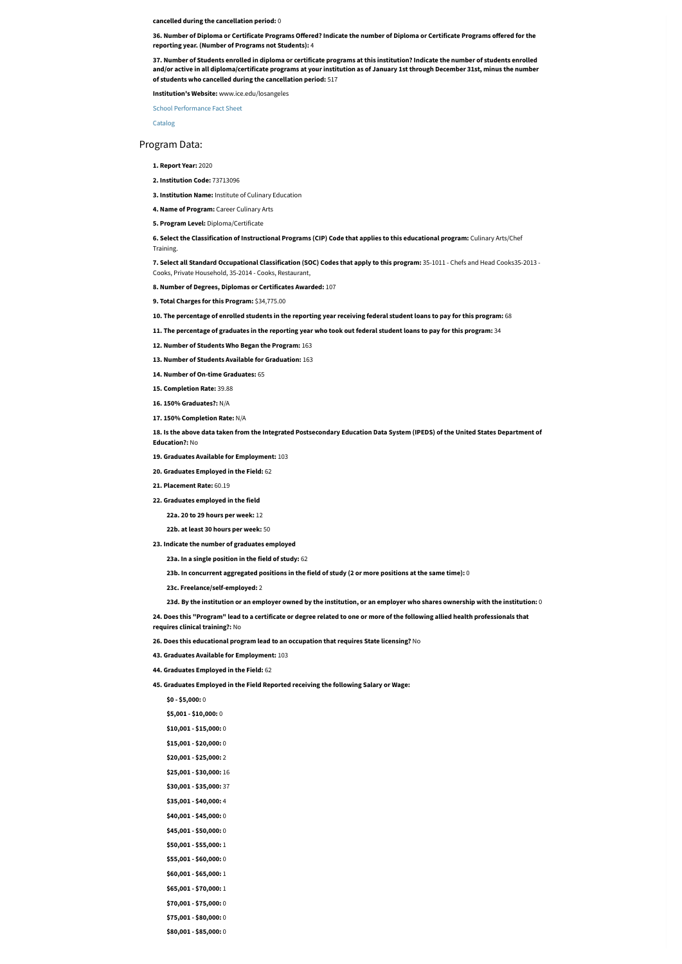**cancelled during the cancellation period:** 0

36. Number of Diploma or Certificate Programs Offered? Indicate the number of Diploma or Certificate Programs offered for the **reporting year. (Number of Programs not Students):** 4

37. Number of Students enrolled in diploma or certificate programs at this institution? Indicate the number of students enrolled and/or active in all diploma/certificate programs at your institution as of January 1st through December 31st, minus the number **of students who cancelled during the cancellation period:** 517

6. Select the Classification of Instructional Programs (CIP) Code that applies to this educational program: Culinary Arts/Chef Training.

**Institution's Website:** www.ice.edu/losangeles

School [Performance](https://bppe.ca.gov/webapplications/annualReports/2020/document/7930E72A-B68A-4AE8-B0BC-2092110110E3) Fact Sheet

[Catalog](https://bppe.ca.gov/webapplications/annualReports/2020/document/C5391B9B-4861-4DBB-8DB7-D47BD200419B)

## Program Data:

**1. Report Year:** 2020

**2. Institution Code:** 73713096

**3. Institution Name:** Institute of Culinary Education

**4. Name of Program:** Career Culinary Arts

**5. Program Level:** Diploma/Certificate

18. Is the above data taken from the Integrated Postsecondary Education Data System (IPEDS) of the United States Department of **Education?:** No

**7. Select all Standard Occupational Classification (SOC) Codes that apply to this program:** 35-1011 - Chefs and Head Cooks35-2013 - Cooks, Private Household, 35-2014 - Cooks, Restaurant,

**8. Number of Degrees, Diplomas or Certificates Awarded:** 107

**9. Total Charges for this Program:** \$34,775.00

10. The percentage of enrolled students in the reporting year receiving federal student loans to pay for this program: 68

11. The percentage of graduates in the reporting year who took out federal student loans to pay for this program: 34

24. Does this "Program" lead to a certificate or degree related to one or more of the following allied health professionals that **requires clinical training?:** No

**12. Number of Students Who Began the Program:** 163

**13. Number of Students Available for Graduation:** 163

**14. Number of On-time Graduates:** 65

**15. Completion Rate:** 39.88

**16. 150% Graduates?:** N/A

**17. 150% Completion Rate:** N/A

**19. Graduates Available for Employment:** 103

**20. Graduates Employed in the Field:** 62

**21. Placement Rate:** 60.19

**22. Graduates employed in the field**

**22a. 20 to 29 hours per week:** 12

**22b. at least 30 hours per week:** 50

**23. Indicate the number of graduates employed**

**23a. In a single position in the field of study:** 62

23b. In concurrent aggregated positions in the field of study (2 or more positions at the same time):  $0$ 

**23c. Freelance/self-employed:** 2

23d. By the institution or an employer owned by the institution, or an employer who shares ownership with the institution:  $0$ 

**26. Does this educational program lead to an occupation that requires State licensing?** No

**43. Graduates Available for Employment:** 103

**44. Graduates Employed in the Field:** 62

**45. Graduates Employed in the Field Reported receiving the following Salary or Wage:**

**\$0 - \$5,000:** 0

**\$5,001 - \$10,000:** 0

**\$10,001 - \$15,000:** 0

**\$15,001 - \$20,000:** 0

**\$20,001 - \$25,000:** 2

**\$25,001 - \$30,000:** 16

**\$30,001 - \$35,000:** 37

**\$35,001 - \$40,000:** 4

**\$40,001 - \$45,000:** 0

**\$45,001 - \$50,000:** 0

**\$50,001 - \$55,000:** 1

**\$55,001 - \$60,000:** 0

**\$60,001 - \$65,000:** 1

**\$65,001 - \$70,000:** 1

**\$70,001 - \$75,000:** 0

**\$75,001 - \$80,000:** 0

**\$80,001 - \$85,000:** 0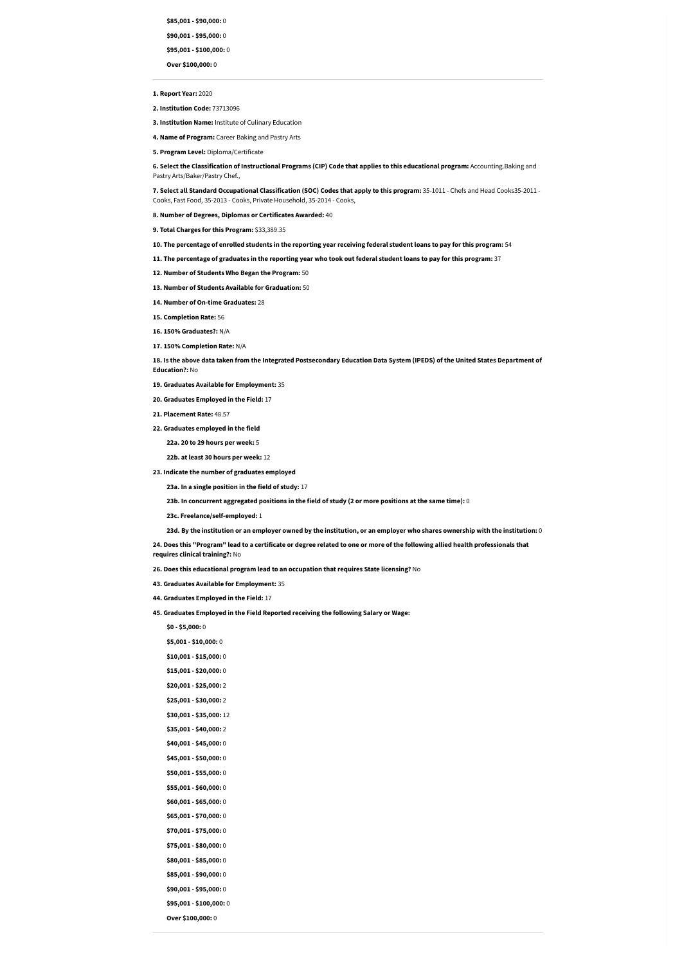**\$85,001 - \$90,000:** 0

**\$90,001 - \$95,000:** 0

**\$95,001 - \$100,000:** 0

**Over \$100,000:** 0

**1. Report Year:** 2020

**2. Institution Code:** 73713096

**3. Institution Name:** Institute of Culinary Education

**4. Name of Program:** Career Baking and Pastry Arts

6. Select the Classification of Instructional Programs (CIP) Code that applies to this educational program: Accounting. Baking and Pastry Arts/Baker/Pastry Chef.,

**5. Program Level:** Diploma/Certificate

**7. Select all Standard Occupational Classification (SOC) Codes that apply to this program:** 35-1011 - Chefs and Head Cooks35-2011 - Cooks, Fast Food, 35-2013 - Cooks, Private Household, 35-2014 - Cooks,

**8. Number of Degrees, Diplomas or Certificates Awarded:** 40

18. Is the above data taken from the Integrated Postsecondary Education Data System (IPEDS) of the United States Department of **Education?:** No

**9. Total Charges for this Program:** \$33,389.35

10. The percentage of enrolled students in the reporting year receiving federal student loans to pay for this program: 54

11. The percentage of graduates in the reporting year who took out federal student loans to pay for this program:  $37$ 

**12. Number of Students Who Began the Program:** 50

24. Does this "Program" lead to a certificate or degree related to one or more of the following allied health professionals that **requires clinical training?:** No

**13. Number of Students Available for Graduation:** 50

**14. Number of On-time Graduates:** 28

**15. Completion Rate:** 56

**16. 150% Graduates?:** N/A

**17. 150% Completion Rate:** N/A

**19. Graduates Available for Employment:** 35

**20. Graduates Employed in the Field:** 17

**21. Placement Rate:** 48.57

**22. Graduates employed in the field**

**22a. 20 to 29 hours per week:** 5

**22b. at least 30 hours per week:** 12

**23. Indicate the number of graduates employed**

**23a. In a single position in the field of study:** 17

23b. In concurrent aggregated positions in the field of study (2 or more positions at the same time):  $0$ 

**23c. Freelance/self-employed:** 1

23d. By the institution or an employer owned by the institution, or an employer who shares ownership with the institution: 0

**26. Does this educational program lead to an occupation that requires State licensing?** No

**43. Graduates Available for Employment:** 35

**44. Graduates Employed in the Field:** 17

**45. Graduates Employed in the Field Reported receiving the following Salary or Wage:**

**\$0 - \$5,000:** 0 **\$5,001 - \$10,000:** 0 **\$10,001 - \$15,000:** 0 **\$15,001 - \$20,000:** 0 **\$20,001 - \$25,000:** 2 **\$25,001 - \$30,000:** 2 **\$30,001 - \$35,000:** 12 **\$35,001 - \$40,000:** 2 **\$40,001 - \$45,000:** 0 **\$45,001 - \$50,000:** 0 **\$50,001 - \$55,000:** 0 **\$55,001 - \$60,000:** 0 **\$60,001 - \$65,000:** 0 **\$65,001 - \$70,000:** 0 **\$70,001 - \$75,000:** 0 **\$75,001 - \$80,000:** 0 **\$80,001 - \$85,000:** 0 **\$85,001 - \$90,000:** 0 **\$90,001 - \$95,000:** 0 **\$95,001 - \$100,000:** 0 **Over \$100,000:** 0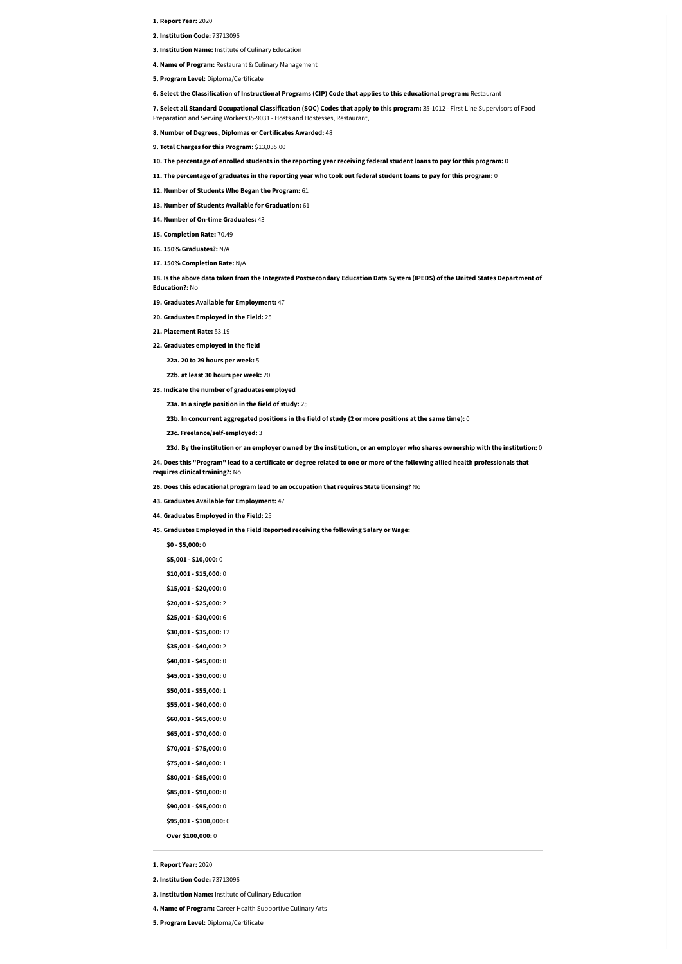- **1. Report Year:** 2020
- **2. Institution Code:** 73713096
- **3. Institution Name:** Institute of Culinary Education
- **4. Name of Program:** Restaurant & Culinary Management
- **5. Program Level:** Diploma/Certificate

**6. Select the Classification of Instructional Programs (CIP) Code that applies to this educational program:** Restaurant

**7. Select all Standard Occupational Classification (SOC) Codes that apply to this program:** 35-1012 - First-Line Supervisors of Food Preparation and Serving Workers35-9031 - Hosts and Hostesses, Restaurant,

**8. Number of Degrees, Diplomas or Certificates Awarded:** 48

18. Is the above data taken from the Integrated Postsecondary Education Data System (IPEDS) of the United States Department of **Education?:** No

- **9. Total Charges for this Program:** \$13,035.00
- 10. The percentage of enrolled students in the reporting year receiving federal student loans to pay for this program: 0
- 11. The percentage of graduates in the reporting year who took out federal student loans to pay for this program: 0
- **12. Number of Students Who Began the Program:** 61
- **13. Number of Students Available for Graduation:** 61
- **14. Number of On-time Graduates:** 43
- **15. Completion Rate:** 70.49
- **16. 150% Graduates?:** N/A
- **17. 150% Completion Rate:** N/A

**19. Graduates Available for Employment:** 47

- **20. Graduates Employed in the Field:** 25
- **21. Placement Rate:** 53.19
- **22. Graduates employed in the field**
	- **22a. 20 to 29 hours per week:** 5
	- **22b. at least 30 hours per week:** 20
- **23. Indicate the number of graduates employed**
	- **23a. In a single position in the field of study:** 25
	- 23b. In concurrent aggregated positions in the field of study (2 or more positions at the same time):  $0$
	- **23c. Freelance/self-employed:** 3
	- 23d. By the institution or an employer owned by the institution, or an employer who shares ownership with the institution:  $0$
- 24. Does this "Program" lead to a certificate or degree related to one or more of the following allied health professionals that **requires clinical training?:** No
- **26. Does this educational program lead to an occupation that requires State licensing?** No
- **43. Graduates Available for Employment:** 47
- 

**44. Graduates Employed in the Field:** 25

**45. Graduates Employed in the Field Reported receiving the following Salary or Wage:**

**\$0 - \$5,000:** 0 **\$5,001 - \$10,000:** 0 **\$10,001 - \$15,000:** 0 **\$15,001 - \$20,000:** 0 **\$20,001 - \$25,000:** 2 **\$25,001 - \$30,000:** 6 **\$30,001 - \$35,000:** 12 **\$35,001 - \$40,000:** 2 **\$40,001 - \$45,000:** 0 **\$45,001 - \$50,000:** 0 **\$50,001 - \$55,000:** 1 **\$55,001 - \$60,000:** 0 **\$60,001 - \$65,000:** 0 **\$65,001 - \$70,000:** 0 **\$70,001 - \$75,000:** 0 **\$75,001 - \$80,000:** 1 **\$80,001 - \$85,000:** 0 **\$85,001 - \$90,000:** 0 **\$90,001 - \$95,000:** 0 **\$95,001 - \$100,000:** 0 **Over \$100,000:** 0

**1. Report Year:** 2020

**2. Institution Code:** 73713096

**3. Institution Name:** Institute of Culinary Education

**4. Name of Program:** Career Health Supportive Culinary Arts

**5. Program Level:** Diploma/Certificate